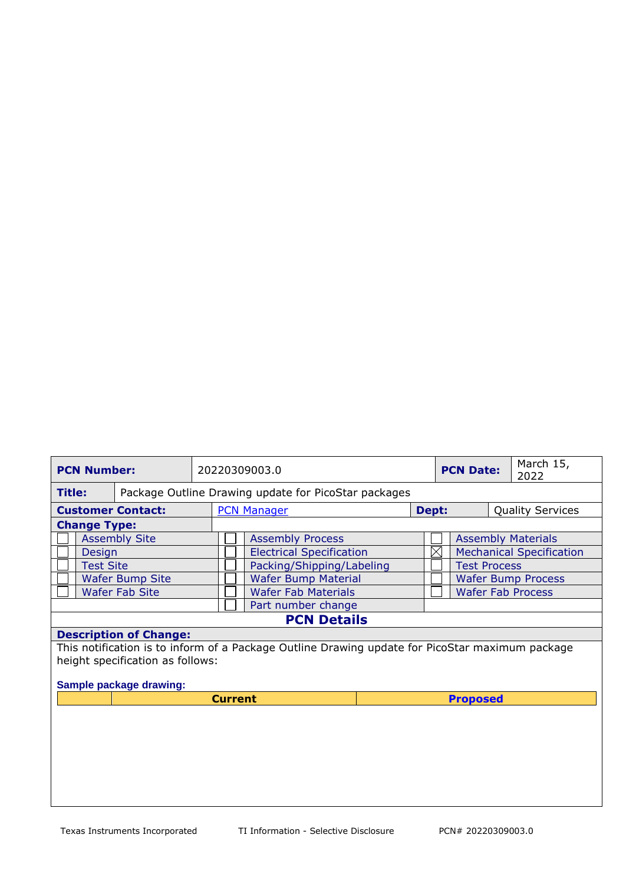| <b>PCN Number:</b>                                                                              |                  |  | 20220309003.0              |                                 |  |                 | <b>PCN Date:</b>                |                          | March 15,<br>2022       |  |
|-------------------------------------------------------------------------------------------------|------------------|--|----------------------------|---------------------------------|--|-----------------|---------------------------------|--------------------------|-------------------------|--|
| Package Outline Drawing update for PicoStar packages<br><b>Title:</b>                           |                  |  |                            |                                 |  |                 |                                 |                          |                         |  |
| <b>Customer Contact:</b>                                                                        |                  |  | <b>PCN Manager</b>         |                                 |  | Dept:           |                                 |                          | <b>Quality Services</b> |  |
| <b>Change Type:</b>                                                                             |                  |  |                            |                                 |  |                 |                                 |                          |                         |  |
| <b>Assembly Site</b>                                                                            |                  |  | <b>Assembly Process</b>    |                                 |  |                 | <b>Assembly Materials</b>       |                          |                         |  |
| Design                                                                                          |                  |  |                            | <b>Electrical Specification</b> |  |                 | <b>Mechanical Specification</b> |                          |                         |  |
|                                                                                                 | <b>Test Site</b> |  |                            | Packing/Shipping/Labeling       |  |                 | <b>Test Process</b>             |                          |                         |  |
| <b>Wafer Bump Site</b>                                                                          |                  |  |                            | <b>Wafer Bump Material</b>      |  |                 | <b>Wafer Bump Process</b>       |                          |                         |  |
| <b>Wafer Fab Site</b>                                                                           |                  |  | <b>Wafer Fab Materials</b> |                                 |  |                 |                                 | <b>Wafer Fab Process</b> |                         |  |
|                                                                                                 |                  |  |                            | Part number change              |  |                 |                                 |                          |                         |  |
| <b>PCN Details</b>                                                                              |                  |  |                            |                                 |  |                 |                                 |                          |                         |  |
| <b>Description of Change:</b>                                                                   |                  |  |                            |                                 |  |                 |                                 |                          |                         |  |
| This notification is to inform of a Package Outline Drawing update for PicoStar maximum package |                  |  |                            |                                 |  |                 |                                 |                          |                         |  |
| height specification as follows:                                                                |                  |  |                            |                                 |  |                 |                                 |                          |                         |  |
|                                                                                                 |                  |  |                            |                                 |  |                 |                                 |                          |                         |  |
| Sample package drawing:                                                                         |                  |  |                            |                                 |  |                 |                                 |                          |                         |  |
|                                                                                                 |                  |  | <b>Current</b>             |                                 |  | <b>Proposed</b> |                                 |                          |                         |  |
|                                                                                                 |                  |  |                            |                                 |  |                 |                                 |                          |                         |  |
|                                                                                                 |                  |  |                            |                                 |  |                 |                                 |                          |                         |  |
|                                                                                                 |                  |  |                            |                                 |  |                 |                                 |                          |                         |  |
|                                                                                                 |                  |  |                            |                                 |  |                 |                                 |                          |                         |  |
|                                                                                                 |                  |  |                            |                                 |  |                 |                                 |                          |                         |  |
|                                                                                                 |                  |  |                            |                                 |  |                 |                                 |                          |                         |  |
|                                                                                                 |                  |  |                            |                                 |  |                 |                                 |                          |                         |  |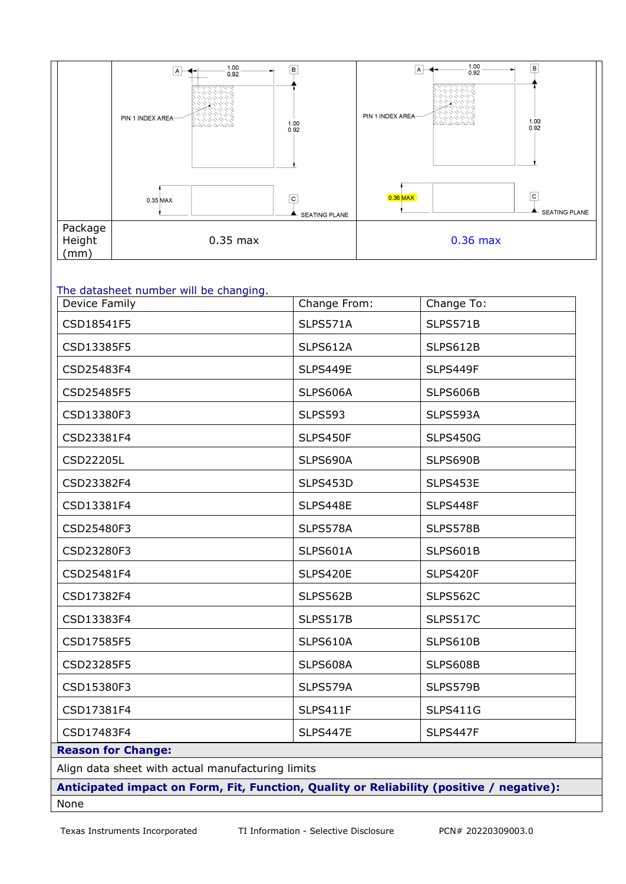

## The datasheet number will be changing.

| Device Family                                     | Change From:    | Change To:      |  |  |  |  |
|---------------------------------------------------|-----------------|-----------------|--|--|--|--|
| CSD18541F5                                        | SLPS571A        | SLPS571B        |  |  |  |  |
| CSD13385F5                                        | SLPS612A        | SLPS612B        |  |  |  |  |
| CSD25483F4                                        | SLPS449E        | SLPS449F        |  |  |  |  |
| CSD25485F5                                        | SLPS606A        | SLPS606B        |  |  |  |  |
| CSD13380F3                                        | <b>SLPS593</b>  | SLPS593A        |  |  |  |  |
| CSD23381F4                                        | SLPS450F        | <b>SLPS450G</b> |  |  |  |  |
| CSD22205L                                         | SLPS690A        | SLPS690B        |  |  |  |  |
| CSD23382F4                                        | SLPS453D        | SLPS453E        |  |  |  |  |
| CSD13381F4                                        | SLPS448E        | SLPS448F        |  |  |  |  |
| CSD25480F3                                        | SLPS578A        | SLPS578B        |  |  |  |  |
| CSD23280F3                                        | SLPS601A        | SLPS601B        |  |  |  |  |
| CSD25481F4                                        | SLPS420E        | SLPS420F        |  |  |  |  |
| CSD17382F4                                        | <b>SLPS562B</b> | <b>SLPS562C</b> |  |  |  |  |
| CSD13383F4                                        | SLPS517B        | <b>SLPS517C</b> |  |  |  |  |
| CSD17585F5                                        | SLPS610A        | SLPS610B        |  |  |  |  |
| CSD23285F5                                        | SLPS608A        | SLPS608B        |  |  |  |  |
| CSD15380F3                                        | SLPS579A        | SLPS579B        |  |  |  |  |
| CSD17381F4                                        | SLPS411F        | <b>SLPS411G</b> |  |  |  |  |
| CSD17483F4                                        | <b>SLPS447E</b> | SLPS447F        |  |  |  |  |
| <b>Reason for Change:</b>                         |                 |                 |  |  |  |  |
| Align data sheet with actual manufacturing limits |                 |                 |  |  |  |  |

**Anticipated impact on Form, Fit, Function, Quality or Reliability (positive / negative):** None